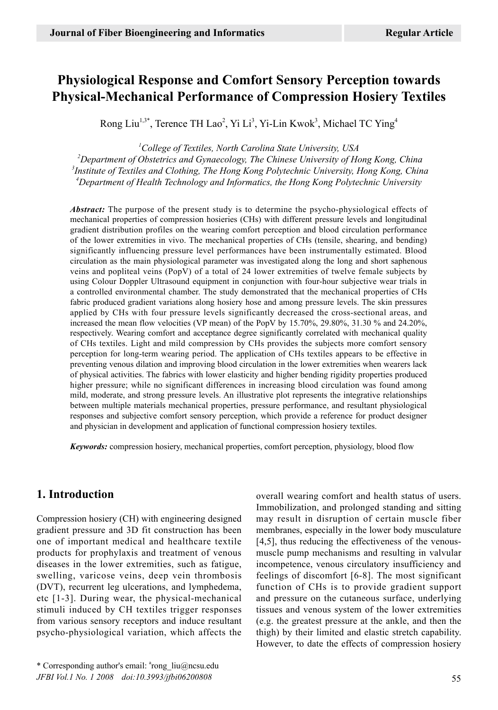# **Physiological Response and Comfort Sensory Perception towards Physical-Mechanical Performance of Compression Hosiery Textiles**

Rong Liu<sup>1,3\*</sup>, Terence TH Lao<sup>2</sup>, Yi Li<sup>3</sup>, Yi-Lin Kwok<sup>3</sup>, Michael TC Ying<sup>4</sup>

 *College of Textiles, North Carolina State University, USA Department of Obstetrics and Gynaecology, The Chinese University of Hong Kong, China Institute of Textiles and Clothing, The Hong Kong Polytechnic University, Hong Kong, China Department of Health Technology and Informatics, the Hong Kong Polytechnic University*

*Abstract:* The purpose of the present study is to determine the psycho-physiological effects of mechanical properties of compression hosieries (CHs) with different pressure levels and longitudinal gradient distribution profiles on the wearing comfort perception and blood circulation performance of the lower extremities in vivo. The mechanical properties of CHs (tensile, shearing, and bending) significantly influencing pressure level performances have been instrumentally estimated. Blood circulation as the main physiological parameter was investigated along the long and short saphenous veins and popliteal veins (PopV) of a total of 24 lower extremities of twelve female subjects by using Colour Doppler Ultrasound equipment in conjunction with four-hour subjective wear trials in a controlled environmental chamber. The study demonstrated that the mechanical properties of CHs fabric produced gradient variations along hosiery hose and among pressure levels. The skin pressures applied by CHs with four pressure levels significantly decreased the cross-sectional areas, and increased the mean flow velocities (VP mean) of the PopV by 15.70%, 29.80%, 31.30 % and 24.20%, respectively. Wearing comfort and acceptance degree significantly correlated with mechanical quality of CHs textiles. Light and mild compression by CHs provides the subjects more comfort sensory perception for long-term wearing period. The application of CHs textiles appears to be effective in preventing venous dilation and improving blood circulation in the lower extremities when wearers lack of physical activities. The fabrics with lower elasticity and higher bending rigidity properties produced higher pressure; while no significant differences in increasing blood circulation was found among mild, moderate, and strong pressure levels. An illustrative plot represents the integrative relationships between multiple materials mechanical properties, pressure performance, and resultant physiological responses and subjective comfort sensory perception, which provide a reference for product designer and physician in development and application of functional compression hosiery textiles.

*Keywords:* compression hosiery, mechanical properties, comfort perception, physiology, blood flow

## **1. Introduction**

Compression hosiery (CH) with engineering designed gradient pressure and 3D fit construction has been one of important medical and healthcare textile products for prophylaxis and treatment of venous diseases in the lower extremities, such as fatigue, swelling, varicose veins, deep vein thrombosis (DVT), recurrent leg ulcerations, and lymphedema, etc [1-3]. During wear, the physical-mechanical stimuli induced by CH textiles trigger responses from various sensory receptors and induce resultant psycho-physiological variation, which affects the overall wearing comfort and health status of users. Immobilization, and prolonged standing and sitting may result in disruption of certain muscle fiber membranes, especially in the lower body musculature [4,5], thus reducing the effectiveness of the venousmuscle pump mechanisms and resulting in valvular incompetence, venous circulatory insufficiency and feelings of discomfort [6-8]. The most significant function of CHs is to provide gradient support and pressure on the cutaneous surface, underlying tissues and venous system of the lower extremities (e.g. the greatest pressure at the ankle, and then the thigh) by their limited and elastic stretch capability. However, to date the effects of compression hosiery